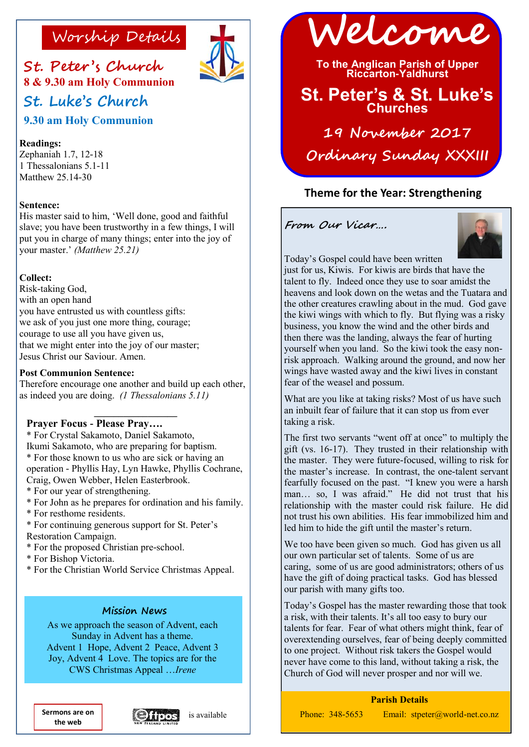

**St. Peter 's Church 8 & 9.30 am Holy Communion St. Luke's Church** 

**9.30 am Holy Communion**

## **Readings:**

Zephaniah 1.7, 12-18 1 Thessalonians 5.1-11 Matthew 25.14-30

## **Sentence:**

His master said to him, 'Well done, good and faithful slave; you have been trustworthy in a few things, I will put you in charge of many things; enter into the joy of your master.' *(Matthew 25.21)*

## **Collect:**

Risk-taking God, with an open hand you have entrusted us with countless gifts: we ask of you just one more thing, courage; courage to use all you have given us, that we might enter into the joy of our master; Jesus Christ our Saviour. Amen.

### **Post Communion Sentence:**

Therefore encourage one another and build up each other, as indeed you are doing. *(1 Thessalonians 5.11)*

**\_\_\_\_\_\_\_\_\_\_\_\_\_\_\_\_\_**

# **Prayer Focus - Please Pray….**

\* For Crystal Sakamoto, Daniel Sakamoto, Ikumi Sakamoto, who are preparing for baptism. \* For those known to us who are sick or having an operation - Phyllis Hay, Lyn Hawke, Phyllis Cochrane, Craig, Owen Webber, Helen Easterbrook.

- \* For our year of strengthening.
- \* For John as he prepares for ordination and his family.
- \* For resthome residents.
- \* For continuing generous support for St. Peter's Restoration Campaign.
- \* For the proposed Christian pre-school.
- \* For Bishop Victoria.
- \* For the Christian World Service Christmas Appeal.

### **Mission News**

As we approach the season of Advent, each Sunday in Advent has a theme. Advent 1 Hope, Advent 2 Peace, Advent 3 Joy, Advent 4 Love. The topics are for the CWS Christmas Appeal …*Irene*

**the web**





**To the Anglican Parish of Upper Riccarton-Yaldhurst**

# **St. Peter's & St. Luke's Churches**

**19 November 2017 Ordinary Sunday XXXIII**

# **Theme for the Year: Strengthening**

**From Our Vicar….**



Today's Gospel could have been written

just for us, Kiwis. For kiwis are birds that have the talent to fly. Indeed once they use to soar amidst the heavens and look down on the wetas and the Tuatara and the other creatures crawling about in the mud. God gave the kiwi wings with which to fly. But flying was a risky business, you know the wind and the other birds and then there was the landing, always the fear of hurting yourself when you land. So the kiwi took the easy nonrisk approach. Walking around the ground, and now her wings have wasted away and the kiwi lives in constant fear of the weasel and possum.

What are you like at taking risks? Most of us have such an inbuilt fear of failure that it can stop us from ever taking a risk.

The first two servants "went off at once" to multiply the gift (vs. 16-17). They trusted in their relationship with the master. They were future-focused, willing to risk for the master's increase. In contrast, the one-talent servant fearfully focused on the past. "I knew you were a harsh man… so, I was afraid." He did not trust that his relationship with the master could risk failure. He did not trust his own abilities. His fear immobilized him and led him to hide the gift until the master's return.

We too have been given so much. God has given us all our own particular set of talents. Some of us are caring, some of us are good administrators; others of us have the gift of doing practical tasks. God has blessed our parish with many gifts too.

Today's Gospel has the master rewarding those that took a risk, with their talents. It's all too easy to bury our talents for fear. Fear of what others might think, fear of overextending ourselves, fear of being deeply committed to one project. Without risk takers the Gospel would never have come to this land, without taking a risk, the Church of God will never prosper and nor will we.

### **Parish Details**

Phone: 348-5653 Email: stpeter@world-net.co.nz